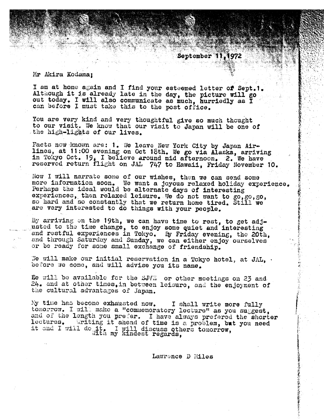Mr Akira Kodama:

I am at home again and I find your esteemed letter of Sept.1. Although it is already late in the day, the picture will go out today. I will also communicate as much, hurriedly as I can before I must take this to the post office.

You are very kind and very thoughtful give so much thought to our visit. We know that our visit to Japan will be one of the high-lights of our lives.

Facts now known are: 1. We leave New York City by Japan Airlines, at 11:00 evening on Oct 18th. We go via Alaska, arriving in Toxyo Oct. 19, I believe around mid afternoon. 2. We have reserved return flight on JAL 747 to Hawaii, Friday November 10.

Now I will narrate some of our wishes, then we can send some more information soon. We want a joyous relaxed holiday experience. Perhaps the ideal would be alternate days of interesting experiences, then relaxed leisure. We do not want to go, go, go, so hard and so constantly that we return home tired. Still we are very interested to do things with your people.

By arriving on the 19th, we can have time to rest, to get adjusted to the time change, to enjoy some quiet and interesting and restful experiences in Tokyo. By Friday evening, the 20th, and through Saturday and Sunday, we can either enjoy ourselves or be ready for some small exchange of friendship.

We will make our initial reservation in a Tokyo hotel, at JAL,  $\cdot$ before we come, and will advise you its name.

Re will be available for the SJVE or other meetings on 23 and 24. and at other times, in between leisure, and the enjoyment of the cultural advantages of Japan.

My time has become exhausted now. I shall write more fully tomorrow. I will make a "commemoratory lecture" as you suggest, and of the length you prefer. I have always prefered the shorter lectures. Writing it ahead of time is a problem, but you need it and I will do it. I will discuss others tomorrow,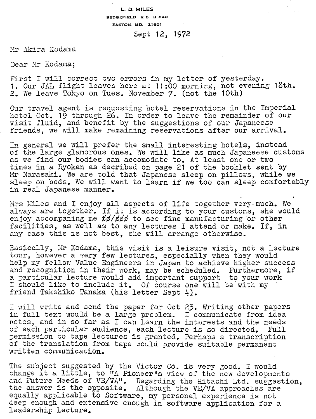## **L. D. MILES SEDGEFIELD R 5 B 840 EASTON. MD. 21601**

## Sept 12, 1972

Mr Akira Kodama

Dear Mr Kodama;

First I will correct two errors in my letter of yesterday. 1. Our J4.L flight leaves here at **11:OO** morning, not evening 18th, 2. We leave Tokyo on Tues. November 7. (not the 10th)

Our travel agent is requesting hotel reservations in the Imperial hotel Oct. 19 through 26. In order to leave the remainder of our visit fluid, and benefit by the suggestions of our Japaneese friends, we will make remaining reservations after our arrival.

In general we will prefer the small interesting hotels, instead of the Large glamorous ones, **3e** will like as much Japaneese customs as we find our bodies can accomodate to. At least one or two times in a Ryokan as decribed on page 21 of the booklet sent by Mr Narasaki. We are told that Japanese sleep on pillows, while we sleep on beds. We will want to learn if we too can sleep comfortably<br>in real Japanese manner.

Mrs Miles and I enjoy all aspects of life together very much. We always are together. If it is according to your customs, she would enjoy accompaning me  $\sharp\phi/\sharp\sharp\sharp$  to see fine manufacturing or other facilities, as well as to any lectures I attend or make. If, in any case this **is** not best, she will arrange otherwise.

Basically, Mr Kodama, this visit is a leisure visit, not a lecture **tour**, however a very few lectures, especially when they would help my fellow Value Engineers in Japan to achieve higher success 2nd recognition in their work, **may** be scheduled, Furthermore, if a particular lecture would add important support to your work I should like to include it. Of course one will be with my friend Takehiko Tanaka (his letter Sept 4).

I will write and send the paper for Oct 23. Writing other papers in full text would be a large problem. I communicate from idea nctes, and in so far as I can learn the interests and the needs of each particular audience, each lecture is so directed. Full permission to tape lectures is granted. Perhaps a transcription of the translation from tape would provide suitable permanent written communication.

The subject suggested by the Victor Co. is very good. I would change it a little, to "A Pioneer's view of the new developments and Future Needs of VE/VA". Regarding the Hitachi Ltd. suggestion, the answer is the opposite. Although the VE/VA approaches are equally applicable to Software, my personal experience is not deep enough and extensive enough in software application for a leadership lecture,